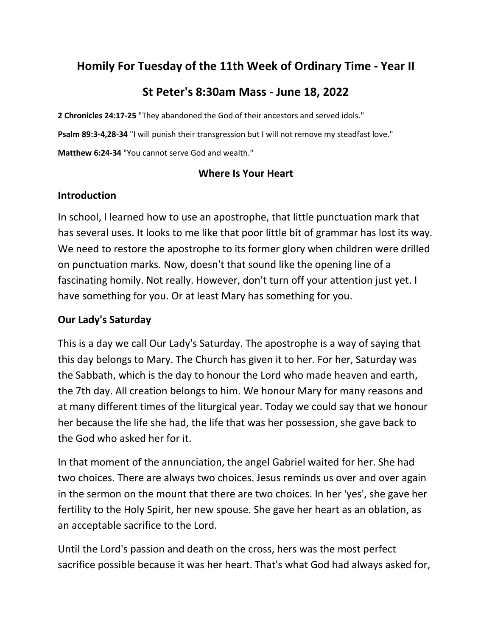# **Homily For Tuesday of the 11th Week of Ordinary Time - Year II**

# **St Peter's 8:30am Mass - June 18, 2022**

**2 Chronicles 24:17-25** "They abandoned the God of their ancestors and served idols."

**Psalm 89:3-4,28-34** "I will punish their transgression but I will not remove my steadfast love."

**Matthew 6:24-34** "You cannot serve God and wealth."

### **Where Is Your Heart**

# **Introduction**

In school, I learned how to use an apostrophe, that little punctuation mark that has several uses. It looks to me like that poor little bit of grammar has lost its way. We need to restore the apostrophe to its former glory when children were drilled on punctuation marks. Now, doesn't that sound like the opening line of a fascinating homily. Not really. However, don't turn off your attention just yet. I have something for you. Or at least Mary has something for you.

## **Our Lady's Saturday**

This is a day we call Our Lady's Saturday. The apostrophe is a way of saying that this day belongs to Mary. The Church has given it to her. For her, Saturday was the Sabbath, which is the day to honour the Lord who made heaven and earth, the 7th day. All creation belongs to him. We honour Mary for many reasons and at many different times of the liturgical year. Today we could say that we honour her because the life she had, the life that was her possession, she gave back to the God who asked her for it.

In that moment of the annunciation, the angel Gabriel waited for her. She had two choices. There are always two choices. Jesus reminds us over and over again in the sermon on the mount that there are two choices. In her 'yes', she gave her fertility to the Holy Spirit, her new spouse. She gave her heart as an oblation, as an acceptable sacrifice to the Lord.

Until the Lord's passion and death on the cross, hers was the most perfect sacrifice possible because it was her heart. That's what God had always asked for,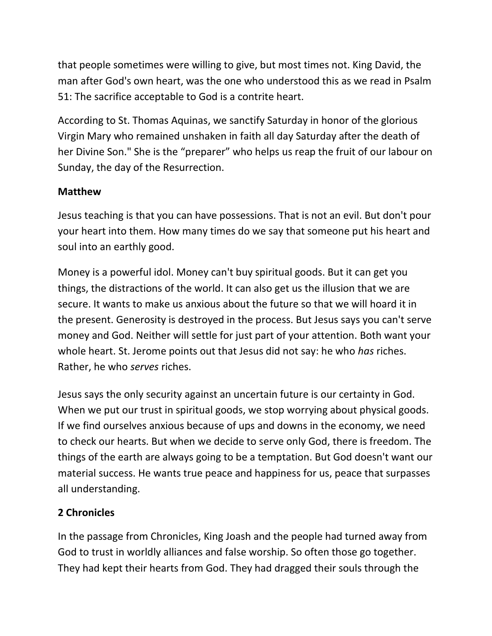that people sometimes were willing to give, but most times not. King David, the man after God's own heart, was the one who understood this as we read in Psalm 51: The sacrifice acceptable to God is a contrite heart.

According to St. Thomas Aquinas, we sanctify Saturday in honor of the glorious Virgin Mary who remained unshaken in faith all day Saturday after the death of her Divine Son." She is the "preparer" who helps us reap the fruit of our labour on Sunday, the day of the Resurrection.

# **Matthew**

Jesus teaching is that you can have possessions. That is not an evil. But don't pour your heart into them. How many times do we say that someone put his heart and soul into an earthly good.

Money is a powerful idol. Money can't buy spiritual goods. But it can get you things, the distractions of the world. It can also get us the illusion that we are secure. It wants to make us anxious about the future so that we will hoard it in the present. Generosity is destroyed in the process. But Jesus says you can't serve money and God. Neither will settle for just part of your attention. Both want your whole heart. St. Jerome points out that Jesus did not say: he who *has* riches. Rather, he who *serves* riches.

Jesus says the only security against an uncertain future is our certainty in God. When we put our trust in spiritual goods, we stop worrying about physical goods. If we find ourselves anxious because of ups and downs in the economy, we need to check our hearts. But when we decide to serve only God, there is freedom. The things of the earth are always going to be a temptation. But God doesn't want our material success. He wants true peace and happiness for us, peace that surpasses all understanding.

# **2 Chronicles**

In the passage from Chronicles, King Joash and the people had turned away from God to trust in worldly alliances and false worship. So often those go together. They had kept their hearts from God. They had dragged their souls through the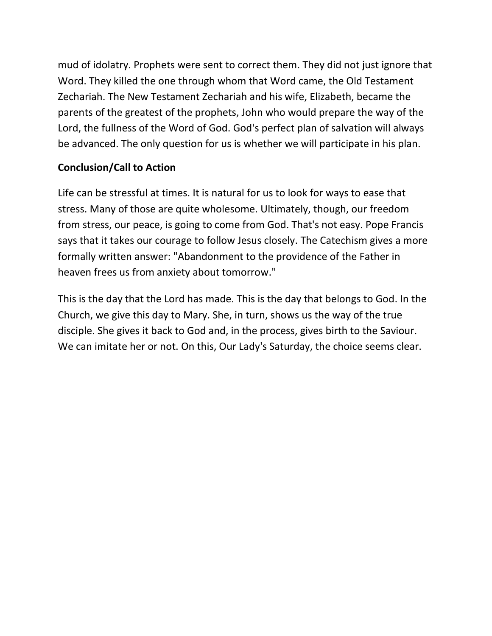mud of idolatry. Prophets were sent to correct them. They did not just ignore that Word. They killed the one through whom that Word came, the Old Testament Zechariah. The New Testament Zechariah and his wife, Elizabeth, became the parents of the greatest of the prophets, John who would prepare the way of the Lord, the fullness of the Word of God. God's perfect plan of salvation will always be advanced. The only question for us is whether we will participate in his plan.

# **Conclusion/Call to Action**

Life can be stressful at times. It is natural for us to look for ways to ease that stress. Many of those are quite wholesome. Ultimately, though, our freedom from stress, our peace, is going to come from God. That's not easy. Pope Francis says that it takes our courage to follow Jesus closely. The Catechism gives a more formally written answer: "Abandonment to the providence of the Father in heaven frees us from anxiety about tomorrow."

This is the day that the Lord has made. This is the day that belongs to God. In the Church, we give this day to Mary. She, in turn, shows us the way of the true disciple. She gives it back to God and, in the process, gives birth to the Saviour. We can imitate her or not. On this, Our Lady's Saturday, the choice seems clear.